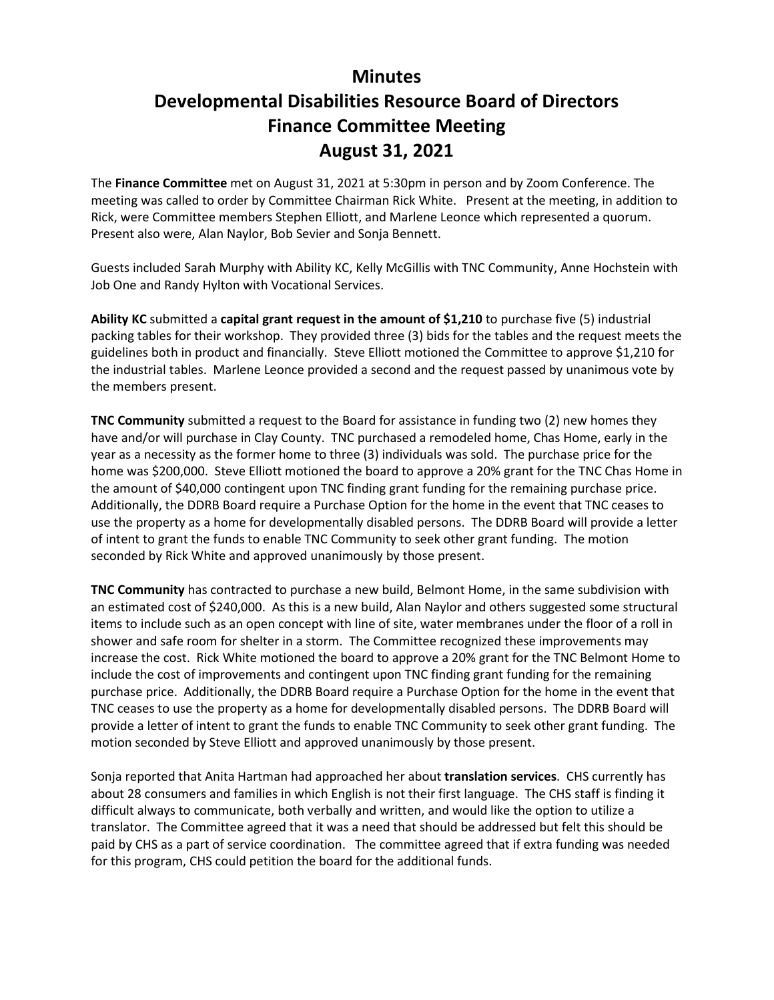## **Minutes Developmental Disabilities Resource Board of Directors Finance Committee Meeting August 31, 2021**

The **Finance Committee** met on August 31, 2021 at 5:30pm in person and by Zoom Conference. The meeting was called to order by Committee Chairman Rick White. Present at the meeting, in addition to Rick, were Committee members Stephen Elliott, and Marlene Leonce which represented a quorum. Present also were, Alan Naylor, Bob Sevier and Sonja Bennett.

Guests included Sarah Murphy with Ability KC, Kelly McGillis with TNC Community, Anne Hochstein with Job One and Randy Hylton with Vocational Services.

**Ability KC** submitted a **capital grant request in the amount of \$1,210** to purchase five (5) industrial packing tables for their workshop. They provided three (3) bids for the tables and the request meets the guidelines both in product and financially. Steve Elliott motioned the Committee to approve \$1,210 for the industrial tables. Marlene Leonce provided a second and the request passed by unanimous vote by the members present.

**TNC Community** submitted a request to the Board for assistance in funding two (2) new homes they have and/or will purchase in Clay County. TNC purchased a remodeled home, Chas Home, early in the year as a necessity as the former home to three (3) individuals was sold. The purchase price for the home was \$200,000. Steve Elliott motioned the board to approve a 20% grant for the TNC Chas Home in the amount of \$40,000 contingent upon TNC finding grant funding for the remaining purchase price. Additionally, the DDRB Board require a Purchase Option for the home in the event that TNC ceases to use the property as a home for developmentally disabled persons. The DDRB Board will provide a letter of intent to grant the funds to enable TNC Community to seek other grant funding. The motion seconded by Rick White and approved unanimously by those present.

**TNC Community** has contracted to purchase a new build, Belmont Home, in the same subdivision with an estimated cost of \$240,000. As this is a new build, Alan Naylor and others suggested some structural items to include such as an open concept with line of site, water membranes under the floor of a roll in shower and safe room for shelter in a storm. The Committee recognized these improvements may increase the cost. Rick White motioned the board to approve a 20% grant for the TNC Belmont Home to include the cost of improvements and contingent upon TNC finding grant funding for the remaining purchase price. Additionally, the DDRB Board require a Purchase Option for the home in the event that TNC ceases to use the property as a home for developmentally disabled persons. The DDRB Board will provide a letter of intent to grant the funds to enable TNC Community to seek other grant funding. The motion seconded by Steve Elliott and approved unanimously by those present.

Sonja reported that Anita Hartman had approached her about **translation services**. CHS currently has about 28 consumers and families in which English is not their first language. The CHS staff is finding it difficult always to communicate, both verbally and written, and would like the option to utilize a translator. The Committee agreed that it was a need that should be addressed but felt this should be paid by CHS as a part of service coordination. The committee agreed that if extra funding was needed for this program, CHS could petition the board for the additional funds.